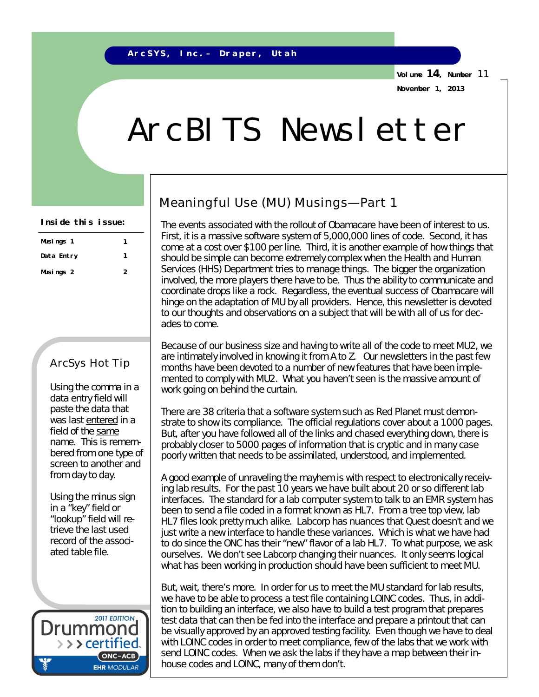**Volume 14, Number** 11 **November 1, 2013**

## ArcBITS Newsletter

| Inside this issue: |  |  |
|--------------------|--|--|
|--------------------|--|--|

| Musings 1  |   |
|------------|---|
| Data Entry |   |
| Musings 2  | 2 |

## ArcSys Hot Tip

Using the comma in a data entry field will paste the data that was last entered in a field of the same name. This is remembered from one type of screen to another and from day to day.

Using the minus sign in a "key" field or "lookup" field will retrieve the last used record of the associated table file.



## Meaningful Use (MU) Musings—Part 1

The events associated with the rollout of Obamacare have been of interest to us. First, it is a massive software system of 5,000,000 lines of code. Second, it has come at a cost over \$100 per line. Third, it is another example of how things that should be simple can become extremely complex when the Health and Human Services (HHS) Department tries to manage things. The bigger the organization involved, the more players there have to be. Thus the ability to communicate and coordinate drops like a rock. Regardless, the eventual success of Obamacare will hinge on the adaptation of MU by all providers. Hence, this newsletter is devoted to our thoughts and observations on a subject that will be with all of us for decades to come.

Because of our business size and having to write all of the code to meet MU2, we are intimately involved in knowing it from A to Z. Our newsletters in the past few months have been devoted to a number of new features that have been implemented to comply with MU2. What you haven't seen is the massive amount of work going on behind the curtain.

There are 38 criteria that a software system such as Red Planet must demonstrate to show its compliance. The official regulations cover about a 1000 pages. But, after you have followed all of the links and chased everything down, there is probably *closer to 5000 pages of information that is cryptic and in many case poorly written* that needs to be assimilated, understood, and implemented.

A good example of unraveling the mayhem is with respect to electronically receiving lab results. For the past 10 years we have built about 20 or so different lab interfaces. The standard for a lab computer system to talk to an EMR system has been to send a file coded in a format known as HL7. From a tree top view, lab HL7 files look pretty much alike. Labcorp has nuances that Quest doesn't and we just write a new interface to handle these variances. Which is what we have had to do since the ONC has their "new" flavor of a lab HL7. To what purpose, we ask ourselves. We don't see Labcorp changing their nuances. *It only seems logical what has been working in production should have been sufficient to meet MU*.

But, wait, there's more. In order for us to meet the MU standard for lab results, we have to be able to process a test file containing LOINC codes. Thus, in addition to building an interface, we also have to build a test program that prepares test data that can then be fed into the interface and prepare a printout that can be visually approved by an approved testing facility. Even though we have to deal with LOINC codes in order to meet compliance, few of the labs that we work with send LOINC codes. When we ask the labs if they have a map between their inhouse codes and LOINC, many of them don't.